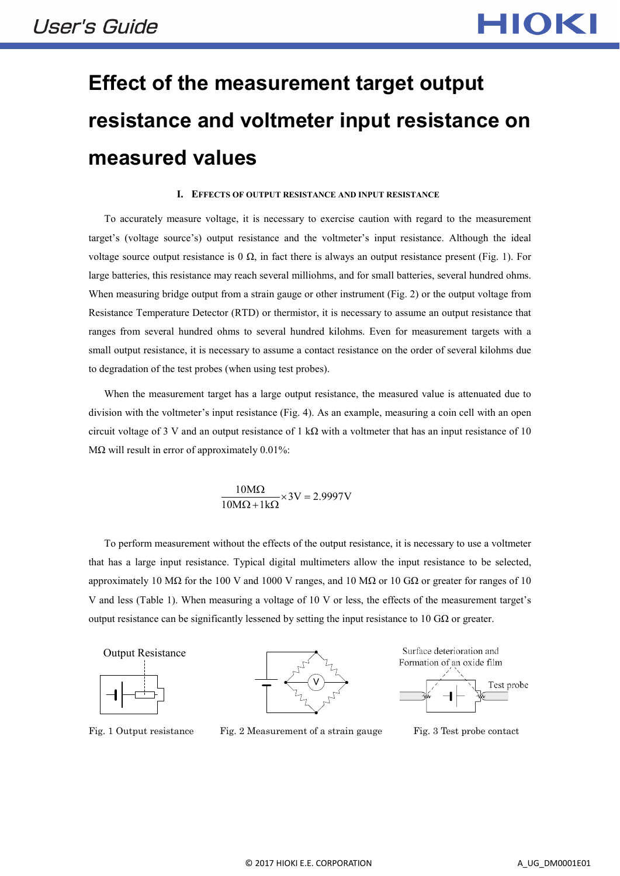# **Effect of the measurement target output resistance and voltmeter input resistance on measured values**

#### **I. EFFECTS OF OUTPUT RESISTANCE AND INPUT RESISTANCE**

To accurately measure voltage, it is necessary to exercise caution with regard to the measurement target's (voltage source's) output resistance and the voltmeter's input resistance. Although the ideal voltage source output resistance is 0  $\Omega$ , in fact there is always an output resistance present (Fig. 1). For large batteries, this resistance may reach several milliohms, and for small batteries, several hundred ohms. When measuring bridge output from a strain gauge or other instrument (Fig. 2) or the output voltage from Resistance Temperature Detector (RTD) or thermistor, it is necessary to assume an output resistance that ranges from several hundred ohms to several hundred kilohms. Even for measurement targets with a small output resistance, it is necessary to assume a contact resistance on the order of several kilohms due to degradation of the test probes (when using test probes).

When the measurement target has a large output resistance, the measured value is attenuated due to division with the voltmeter's input resistance (Fig. 4). As an example, measuring a coin cell with an open circuit voltage of 3 V and an output resistance of 1 k $\Omega$  with a voltmeter that has an input resistance of 10 M $\Omega$  will result in error of approximately 0.01%:

> $3V = 2.9997V$  $10M\Omega + 1k$  $\frac{10\text{M}\Omega}{\text{m}^2} \times 3\text{V} =$  $\Omega + 1k\Omega$ Ω

To perform measurement without the effects of the output resistance, it is necessary to use a voltmeter that has a large input resistance. Typical digital multimeters allow the input resistance to be selected, approximately 10 MΩ for the 100 V and 1000 V ranges, and 10 MΩ or 10 GΩ or greater for ranges of 10 V and less (Table 1). When measuring a voltage of 10 V or less, the effects of the measurement target's output resistance can be significantly lessened by setting the input resistance to 10 GΩ or greater.



V



Fig. 1 Output resistance Fig. 2 Measurement of a strain gauge Fig. 3 Test probe contact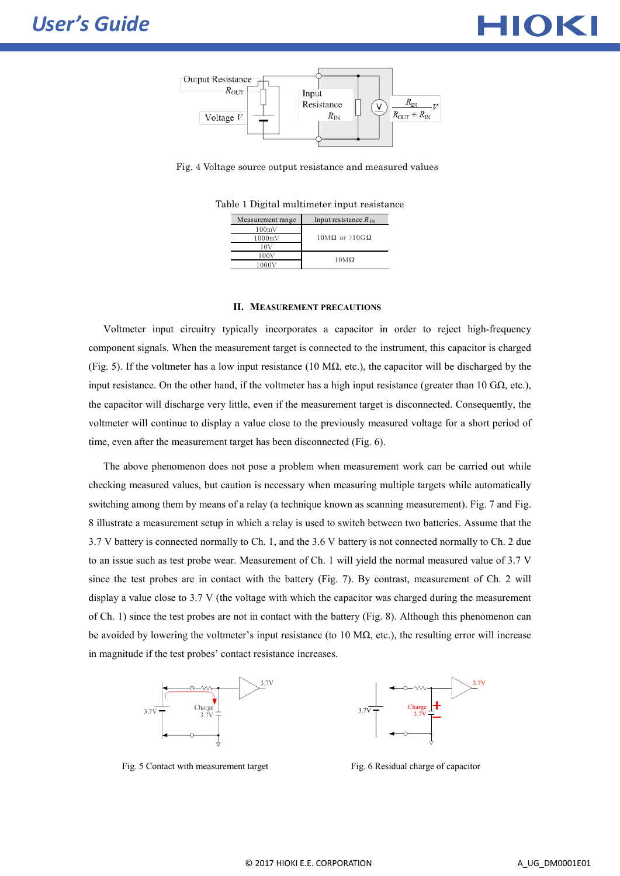



Fig. 4 Voltage source output resistance and measured values

Table 1 Digital multimeter input resistance

| Measurement range | Input resistance $R_{IN}$   |
|-------------------|-----------------------------|
| 100mV             | $10M\Omega$ or $>10G\Omega$ |
| $1000 \text{mV}$  |                             |
| 107               |                             |
| 100V              | $10M\Omega$                 |
| 1000V             |                             |

#### **II. MEASUREMENT PRECAUTIONS**

Voltmeter input circuitry typically incorporates a capacitor in order to reject high-frequency component signals. When the measurement target is connected to the instrument, this capacitor is charged (Fig. 5). If the voltmeter has a low input resistance (10 M $\Omega$ , etc.), the capacitor will be discharged by the input resistance. On the other hand, if the voltmeter has a high input resistance (greater than 10 G $\Omega$ , etc.), the capacitor will discharge very little, even if the measurement target is disconnected. Consequently, the voltmeter will continue to display a value close to the previously measured voltage for a short period of time, even after the measurement target has been disconnected (Fig. 6).

The above phenomenon does not pose a problem when measurement work can be carried out while checking measured values, but caution is necessary when measuring multiple targets while automatically switching among them by means of a relay (a technique known as scanning measurement). Fig. 7 and Fig. 8 illustrate a measurement setup in which a relay is used to switch between two batteries. Assume that the 3.7 V battery is connected normally to Ch. 1, and the 3.6 V battery is not connected normally to Ch. 2 due to an issue such as test probe wear. Measurement of Ch. 1 will yield the normal measured value of 3.7 V since the test probes are in contact with the battery (Fig. 7). By contrast, measurement of Ch. 2 will display a value close to 3.7 V (the voltage with which the capacitor was charged during the measurement of Ch. 1) since the test probes are not in contact with the battery (Fig. 8). Although this phenomenon can be avoided by lowering the voltmeter's input resistance (to 10 M $\Omega$ , etc.), the resulting error will increase in magnitude if the test probes' contact resistance increases.





Fig. 5 Contact with measurement target Fig. 6 Residual charge of capacitor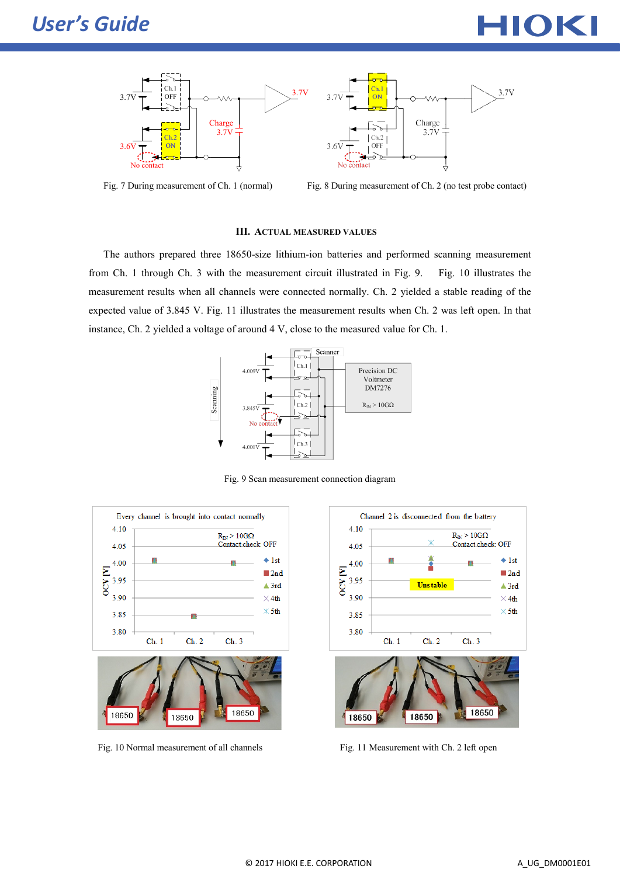





Fig. 7 During measurement of Ch. 1 (normal) Fig. 8 During measurement of Ch. 2 (no test probe contact)

# **III. ACTUAL MEASURED VALUES**

The authors prepared three 18650-size lithium-ion batteries and performed scanning measurement from Ch. 1 through Ch. 3 with the measurement circuit illustrated in Fig. 9. Fig. 10 illustrates the measurement results when all channels were connected normally. Ch. 2 yielded a stable reading of the expected value of 3.845 V. Fig. 11 illustrates the measurement results when Ch. 2 was left open. In that instance, Ch. 2 yielded a voltage of around 4 V, close to the measured value for Ch. 1.



Fig. 9 Scan measurement connection diagram



Fig. 10 Normal measurement of all channels Fig. 11 Measurement with Ch. 2 left open